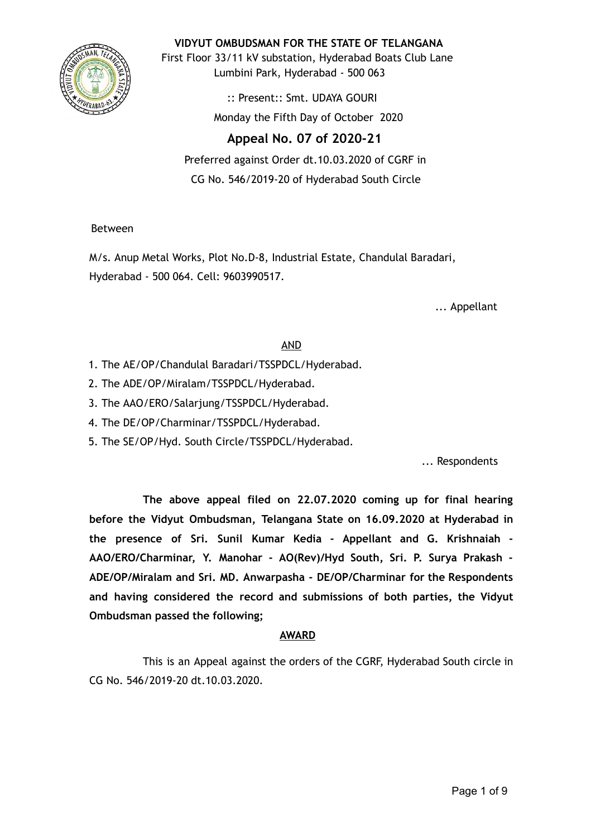

**VIDYUT OMBUDSMAN FOR THE STATE OF TELANGANA**

First Floor 33/11 kV substation, Hyderabad Boats Club Lane Lumbini Park, Hyderabad - 500 063

> :: Present:: Smt. UDAYA GOURI Monday the Fifth Day of October 2020

# **Appeal No. 07 of 2020-21**

Preferred against Order dt.10.03.2020 of CGRF in CG No. 546/2019-20 of Hyderabad South Circle

Between

M/s. Anup Metal Works, Plot No.D-8, Industrial Estate, Chandulal Baradari, Hyderabad - 500 064. Cell: 9603990517.

... Appellant

## AND

- 1. The AE/OP/Chandulal Baradari/TSSPDCL/Hyderabad.
- 2. The ADE/OP/Miralam/TSSPDCL/Hyderabad.
- 3. The AAO/ERO/Salarjung/TSSPDCL/Hyderabad.
- 4. The DE/OP/Charminar/TSSPDCL/Hyderabad.
- 5. The SE/OP/Hyd. South Circle/TSSPDCL/Hyderabad.

... Respondents

**The above appeal filed on 22.07.2020 coming up for final hearing before the Vidyut Ombudsman, Telangana State on 16.09.2020 at Hyderabad in the presence of Sri. Sunil Kumar Kedia - Appellant and G. Krishnaiah - AAO/ERO/Charminar, Y. Manohar - AO(Rev)/Hyd South, Sri. P. Surya Prakash - ADE/OP/Miralam and Sri. MD. Anwarpasha - DE/OP/Charminar for the Respondents and having considered the record and submissions of both parties, the Vidyut Ombudsman passed the following;**

## **AWARD**

This is an Appeal against the orders of the CGRF, Hyderabad South circle in CG No. 546/2019-20 dt.10.03.2020.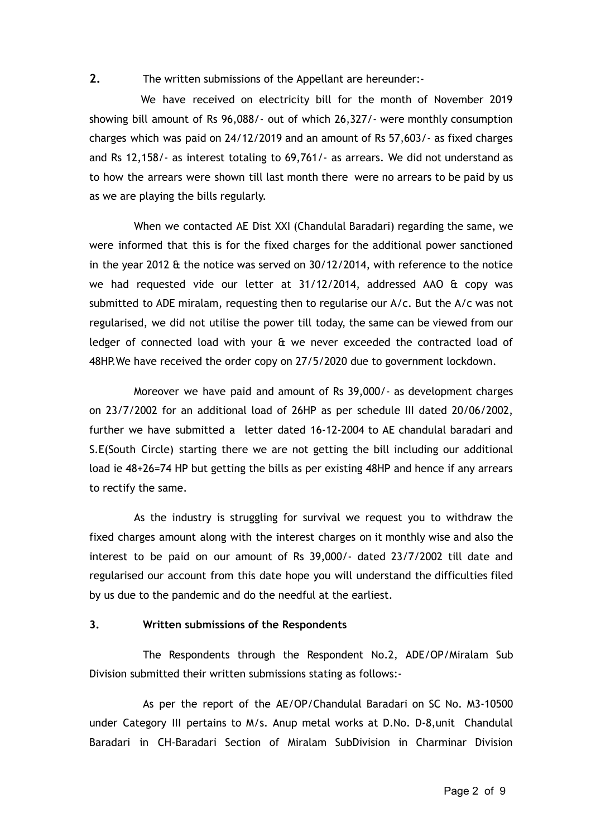**2.** The written submissions of the Appellant are hereunder:-

We have received on electricity bill for the month of November 2019 showing bill amount of Rs 96,088/- out of which 26,327/- were monthly consumption charges which was paid on 24/12/2019 and an amount of Rs 57,603/- as fixed charges and Rs 12,158/- as interest totaling to 69,761/- as arrears. We did not understand as to how the arrears were shown till last month there were no arrears to be paid by us as we are playing the bills regularly.

When we contacted AE Dist XXI (Chandulal Baradari) regarding the same, we were informed that this is for the fixed charges for the additional power sanctioned in the year 2012 & the notice was served on 30/12/2014, with reference to the notice we had requested vide our letter at  $31/12/2014$ , addressed AAO  $\&$  copy was submitted to ADE miralam, requesting then to regularise our A/c. But the A/c was not regularised, we did not utilise the power till today, the same can be viewed from our ledger of connected load with your & we never exceeded the contracted load of 48HP.We have received the order copy on 27/5/2020 due to government lockdown.

Moreover we have paid and amount of Rs 39,000/- as development charges on 23/7/2002 for an additional load of 26HP as per schedule III dated 20/06/2002, further we have submitted a letter dated 16-12-2004 to AE chandulal baradari and S.E(South Circle) starting there we are not getting the bill including our additional load ie 48+26=74 HP but getting the bills as per existing 48HP and hence if any arrears to rectify the same.

As the industry is struggling for survival we request you to withdraw the fixed charges amount along with the interest charges on it monthly wise and also the interest to be paid on our amount of Rs 39,000/- dated 23/7/2002 till date and regularised our account from this date hope you will understand the difficulties filed by us due to the pandemic and do the needful at the earliest.

### **3. Written submissions of the Respondents**

The Respondents through the Respondent No.2, ADE/OP/Miralam Sub Division submitted their written submissions stating as follows:-

As per the report of the AE/OP/Chandulal Baradari on SC No. M3-10500 under Category III pertains to M/s. Anup metal works at D.No. D-8,unit Chandulal Baradari in CH-Baradari Section of Miralam SubDivision in Charminar Division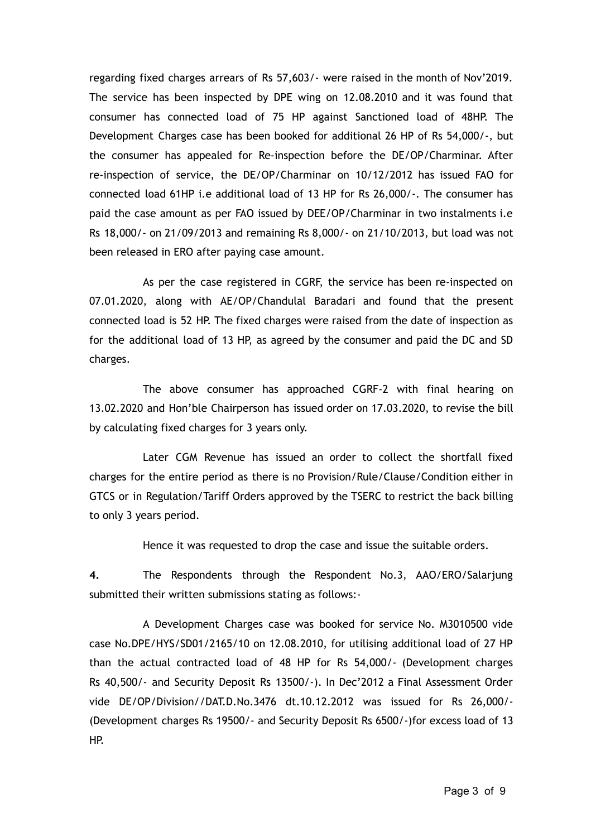regarding fixed charges arrears of Rs 57,603/- were raised in the month of Nov'2019. The service has been inspected by DPE wing on 12.08.2010 and it was found that consumer has connected load of 75 HP against Sanctioned load of 48HP. The Development Charges case has been booked for additional 26 HP of Rs 54,000/-, but the consumer has appealed for Re-inspection before the DE/OP/Charminar. After re-inspection of service, the DE/OP/Charminar on 10/12/2012 has issued FAO for connected load 61HP i.e additional load of 13 HP for Rs 26,000/-. The consumer has paid the case amount as per FAO issued by DEE/OP/Charminar in two instalments i.e Rs 18,000/- on 21/09/2013 and remaining Rs 8,000/- on 21/10/2013, but load was not been released in ERO after paying case amount.

As per the case registered in CGRF, the service has been re-inspected on 07.01.2020, along with AE/OP/Chandulal Baradari and found that the present connected load is 52 HP. The fixed charges were raised from the date of inspection as for the additional load of 13 HP, as agreed by the consumer and paid the DC and SD charges.

The above consumer has approached CGRF-2 with final hearing on 13.02.2020 and Hon'ble Chairperson has issued order on 17.03.2020, to revise the bill by calculating fixed charges for 3 years only.

Later CGM Revenue has issued an order to collect the shortfall fixed charges for the entire period as there is no Provision/Rule/Clause/Condition either in GTCS or in Regulation/Tariff Orders approved by the TSERC to restrict the back billing to only 3 years period.

Hence it was requested to drop the case and issue the suitable orders.

**4.** The Respondents through the Respondent No.3, AAO/ERO/Salarjung submitted their written submissions stating as follows:-

A Development Charges case was booked for service No. M3010500 vide case No.DPE/HYS/SD01/2165/10 on 12.08.2010, for utilising additional load of 27 HP than the actual contracted load of 48 HP for Rs 54,000/- (Development charges Rs 40,500/- and Security Deposit Rs 13500/-). In Dec'2012 a Final Assessment Order vide DE/OP/Division//DAT.D.No.3476 dt.10.12.2012 was issued for Rs 26,000/- (Development charges Rs 19500/- and Security Deposit Rs 6500/-)for excess load of 13 HP.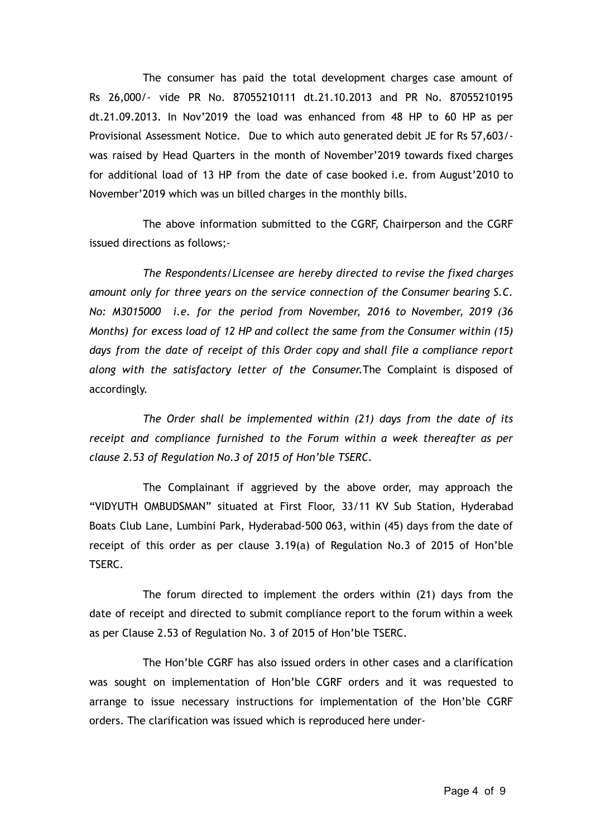The consumer has paid the total development charges case amount of Rs 26,000/- vide PR No. 87055210111 dt.21.10.2013 and PR No. 87055210195 dt.21.09.2013. In Nov'2019 the load was enhanced from 48 HP to 60 HP as per Provisional Assessment Notice. Due to which auto generated debit JE for Rs 57,603/ was raised by Head Quarters in the month of November'2019 towards fixed charges for additional load of 13 HP from the date of case booked i.e. from August'2010 to November'2019 which was un billed charges in the monthly bills.

The above information submitted to the CGRF, Chairperson and the CGRF issued directions as follows;-

*The Respondents/Licensee are hereby directed to revise the fixed charges amount only for three years on the service connection of the Consumer bearing S.C. No: M3015000 i.e. for the period from November, 2016 to November, 2019 (36 Months) for excess load of 12 HP and collect the same from the Consumer within (15) days from the date of receipt of this Order copy and shall file a compliance report along with the satisfactory letter of the Consumer.*The Complaint is disposed of accordingly.

*The Order shall be implemented within (21) days from the date of its receipt and compliance furnished to the Forum within a week thereafter as per clause 2.53 of Regulation No.3 of 2015 of Hon'ble TSERC.*

The Complainant if aggrieved by the above order, may approach the "VIDYUTH OMBUDSMAN" situated at First Floor, 33/11 KV Sub Station, Hyderabad Boats Club Lane, Lumbini Park, Hyderabad-500 063, within (45) days from the date of receipt of this order as per clause 3.19(a) of Regulation No.3 of 2015 of Hon'ble TSERC.

The forum directed to implement the orders within (21) days from the date of receipt and directed to submit compliance report to the forum within a week as per Clause 2.53 of Regulation No. 3 of 2015 of Hon'ble TSERC.

The Hon'ble CGRF has also issued orders in other cases and a clarification was sought on implementation of Hon'ble CGRF orders and it was requested to arrange to issue necessary instructions for implementation of the Hon'ble CGRF orders. The clarification was issued which is reproduced here under-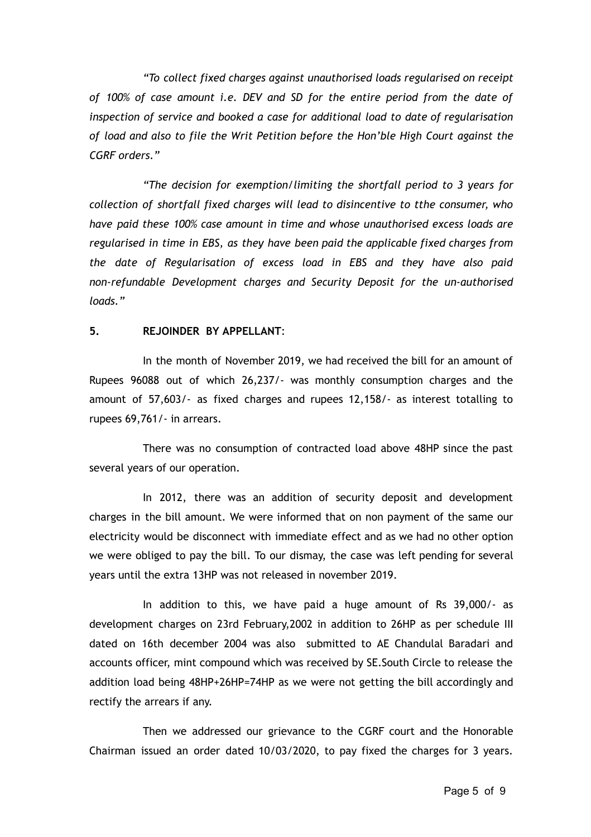*"To collect fixed charges against unauthorised loads regularised on receipt of 100% of case amount i.e. DEV and SD for the entire period from the date of inspection of service and booked a case for additional load to date of regularisation of load and also to file the Writ Petition before the Hon'ble High Court against the CGRF orders."*

*"The decision for exemption/limiting the shortfall period to 3 years for collection of shortfall fixed charges will lead to disincentive to tthe consumer, who have paid these 100% case amount in time and whose unauthorised excess loads are regularised in time in EBS, as they have been paid the applicable fixed charges from the date of Regularisation of excess load in EBS and they have also paid non-refundable Development charges and Security Deposit for the un-authorised loads."*

#### **5. REJOINDER BY APPELLANT**:

In the month of November 2019, we had received the bill for an amount of Rupees 96088 out of which 26,237/- was monthly consumption charges and the amount of 57,603/- as fixed charges and rupees 12,158/- as interest totalling to rupees 69,761/- in arrears.

There was no consumption of contracted load above 48HP since the past several years of our operation.

In 2012, there was an addition of security deposit and development charges in the bill amount. We were informed that on non payment of the same our electricity would be disconnect with immediate effect and as we had no other option we were obliged to pay the bill. To our dismay, the case was left pending for several years until the extra 13HP was not released in november 2019.

In addition to this, we have paid a huge amount of Rs 39,000/- as development charges on 23rd February,2002 in addition to 26HP as per schedule III dated on 16th december 2004 was also submitted to AE Chandulal Baradari and accounts officer, mint compound which was received by SE.South Circle to release the addition load being 48HP+26HP=74HP as we were not getting the bill accordingly and rectify the arrears if any.

Then we addressed our grievance to the CGRF court and the Honorable Chairman issued an order dated 10/03/2020, to pay fixed the charges for 3 years.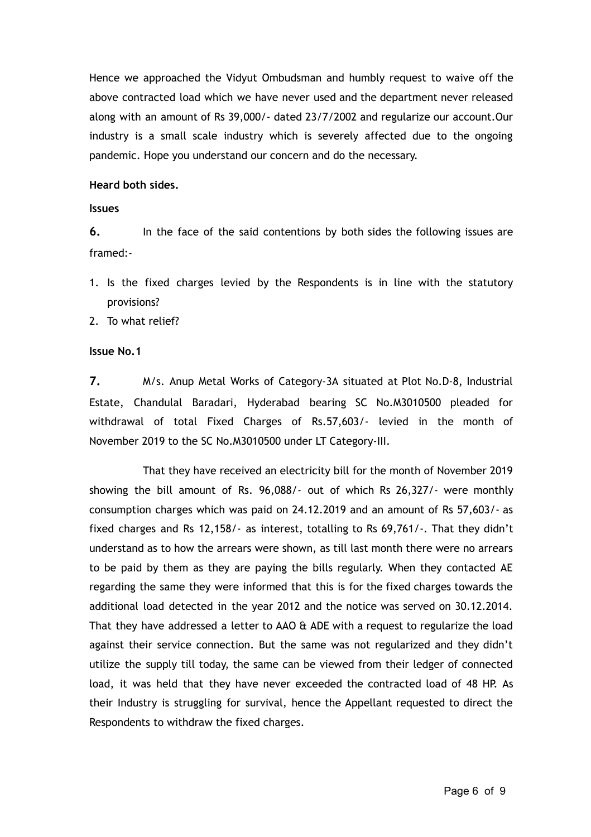Hence we approached the Vidyut Ombudsman and humbly request to waive off the above contracted load which we have never used and the department never released along with an amount of Rs 39,000/- dated 23/7/2002 and regularize our account.Our industry is a small scale industry which is severely affected due to the ongoing pandemic. Hope you understand our concern and do the necessary.

### **Heard both sides.**

**Issues**

**6.** In the face of the said contentions by both sides the following issues are framed:-

1. Is the fixed charges levied by the Respondents is in line with the statutory provisions?

2. To what relief?

### **Issue No.1**

**7.** M/s. Anup Metal Works of Category-3A situated at Plot No.D-8, Industrial Estate, Chandulal Baradari, Hyderabad bearing SC No.M3010500 pleaded for withdrawal of total Fixed Charges of Rs.57,603/- levied in the month of November 2019 to the SC No.M3010500 under LT Category-III.

That they have received an electricity bill for the month of November 2019 showing the bill amount of Rs. 96,088/- out of which Rs 26,327/- were monthly consumption charges which was paid on 24.12.2019 and an amount of Rs 57,603/- as fixed charges and Rs 12,158/- as interest, totalling to Rs 69,761/-. That they didn't understand as to how the arrears were shown, as till last month there were no arrears to be paid by them as they are paying the bills regularly. When they contacted AE regarding the same they were informed that this is for the fixed charges towards the additional load detected in the year 2012 and the notice was served on 30.12.2014. That they have addressed a letter to AAO & ADE with a request to regularize the load against their service connection. But the same was not regularized and they didn't utilize the supply till today, the same can be viewed from their ledger of connected load, it was held that they have never exceeded the contracted load of 48 HP. As their Industry is struggling for survival, hence the Appellant requested to direct the Respondents to withdraw the fixed charges.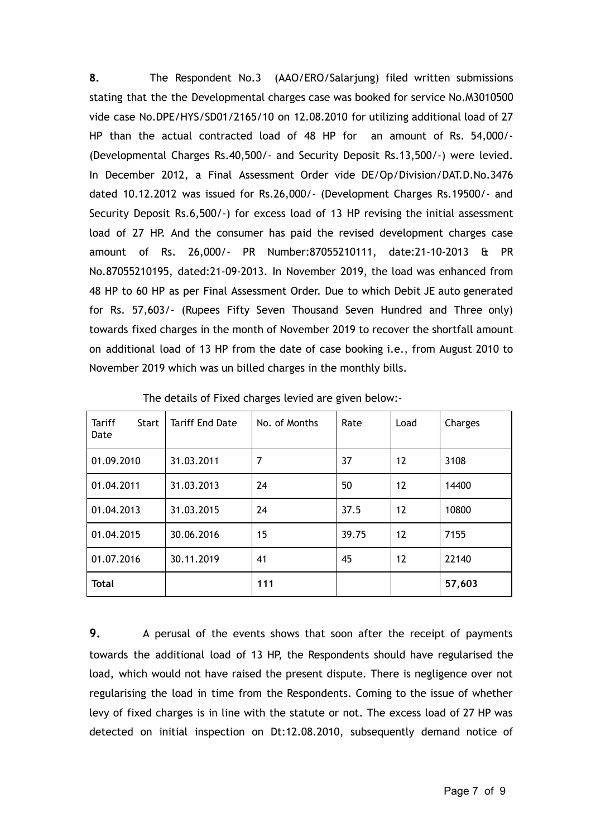**8.** The Respondent No.3 (AAO/ERO/Salarjung) filed written submissions stating that the the Developmental charges case was booked for service No.M3010500 vide case No.DPE/HYS/SD01/2165/10 on 12.08.2010 for utilizing additional load of 27 HP than the actual contracted load of 48 HP for an amount of Rs. 54,000/- (Developmental Charges Rs.40,500/- and Security Deposit Rs.13,500/-) were levied. In December 2012, a Final Assessment Order vide DE/Op/Division/DAT.D.No.3476 dated 10.12.2012 was issued for Rs.26,000/- (Development Charges Rs.19500/- and Security Deposit Rs.6,500/-) for excess load of 13 HP revising the initial assessment load of 27 HP. And the consumer has paid the revised development charges case amount of Rs. 26,000/- PR Number:87055210111, date:21-10-2013 & PR No.87055210195, dated:21-09-2013. In November 2019, the load was enhanced from 48 HP to 60 HP as per Final Assessment Order. Due to which Debit JE auto generated for Rs. 57,603/- (Rupees Fifty Seven Thousand Seven Hundred and Three only) towards fixed charges in the month of November 2019 to recover the shortfall amount on additional load of 13 HP from the date of case booking i.e., from August 2010 to November 2019 which was un billed charges in the monthly bills.

| <b>Tariff</b><br><b>Start</b><br>Date | <b>Tariff End Date</b> | No. of Months | Rate  | Load              | Charges |
|---------------------------------------|------------------------|---------------|-------|-------------------|---------|
| 01.09.2010                            | 31.03.2011             | 7             | 37    | $12 \overline{ }$ | 3108    |
| 01.04.2011                            | 31.03.2013             | 24            | 50    | $12 \overline{ }$ | 14400   |
| 01.04.2013                            | 31.03.2015             | 24            | 37.5  | $12 \overline{ }$ | 10800   |
| 01.04.2015                            | 30.06.2016             | 15            | 39.75 | 12                | 7155    |
| 01.07.2016                            | 30.11.2019             | 41            | 45    | 12                | 22140   |
| <b>Total</b>                          |                        | 111           |       |                   | 57,603  |

The details of Fixed charges levied are given below:-

**9.** A perusal of the events shows that soon after the receipt of payments towards the additional load of 13 HP, the Respondents should have regularised the load, which would not have raised the present dispute. There is negligence over not regularising the load in time from the Respondents. Coming to the issue of whether levy of fixed charges is in line with the statute or not. The excess load of 27 HP was detected on initial inspection on Dt:12.08.2010, subsequently demand notice of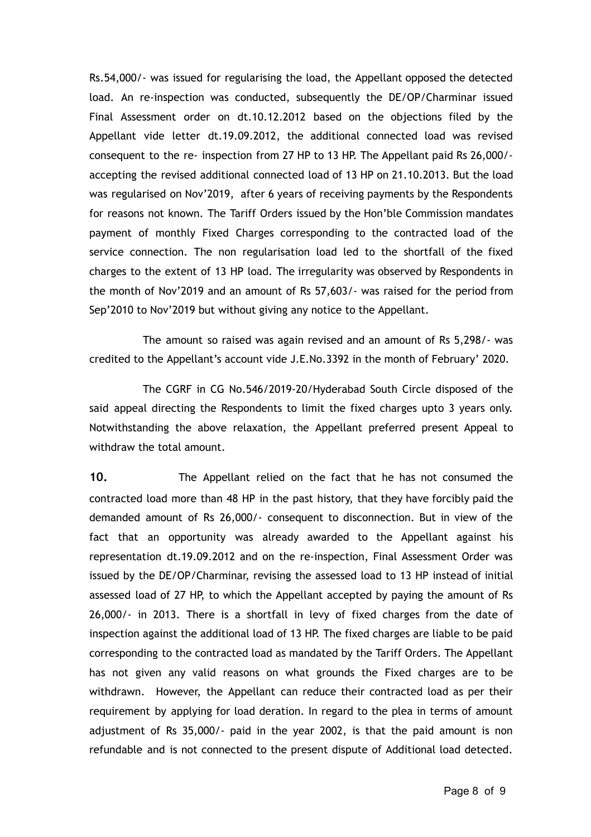Rs.54,000/- was issued for regularising the load, the Appellant opposed the detected load. An re-inspection was conducted, subsequently the DE/OP/Charminar issued Final Assessment order on dt.10.12.2012 based on the objections filed by the Appellant vide letter dt.19.09.2012, the additional connected load was revised consequent to the re- inspection from 27 HP to 13 HP. The Appellant paid Rs 26,000/ accepting the revised additional connected load of 13 HP on 21.10.2013. But the load was regularised on Nov'2019, after 6 years of receiving payments by the Respondents for reasons not known. The Tariff Orders issued by the Hon'ble Commission mandates payment of monthly Fixed Charges corresponding to the contracted load of the service connection. The non regularisation load led to the shortfall of the fixed charges to the extent of 13 HP load. The irregularity was observed by Respondents in the month of Nov'2019 and an amount of Rs 57,603/- was raised for the period from Sep'2010 to Nov'2019 but without giving any notice to the Appellant.

The amount so raised was again revised and an amount of Rs 5,298/- was credited to the Appellant's account vide J.E.No.3392 in the month of February' 2020.

The CGRF in CG No.546/2019-20/Hyderabad South Circle disposed of the said appeal directing the Respondents to limit the fixed charges upto 3 years only. Notwithstanding the above relaxation, the Appellant preferred present Appeal to withdraw the total amount.

**10.** The Appellant relied on the fact that he has not consumed the contracted load more than 48 HP in the past history, that they have forcibly paid the demanded amount of Rs 26,000/- consequent to disconnection. But in view of the fact that an opportunity was already awarded to the Appellant against his representation dt.19.09.2012 and on the re-inspection, Final Assessment Order was issued by the DE/OP/Charminar, revising the assessed load to 13 HP instead of initial assessed load of 27 HP, to which the Appellant accepted by paying the amount of Rs 26,000/- in 2013. There is a shortfall in levy of fixed charges from the date of inspection against the additional load of 13 HP. The fixed charges are liable to be paid corresponding to the contracted load as mandated by the Tariff Orders. The Appellant has not given any valid reasons on what grounds the Fixed charges are to be withdrawn. However, the Appellant can reduce their contracted load as per their requirement by applying for load deration. In regard to the plea in terms of amount adjustment of Rs 35,000/- paid in the year 2002, is that the paid amount is non refundable and is not connected to the present dispute of Additional load detected.